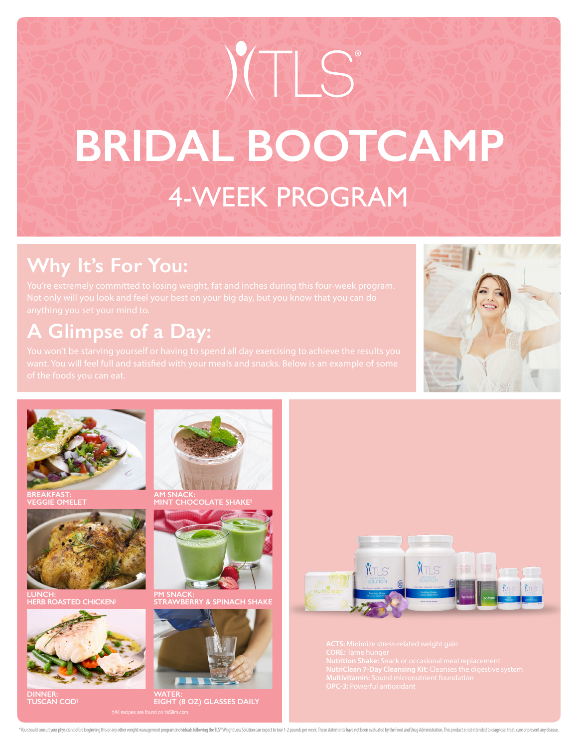# 4-WEEK PROGRAM **BRIDAL BOOTCAMP CONTING**

## **Why It's For You:**

## **A Glimpse of a Day:**





**BREAKFAST: VEGGIE OMELET**



**LUNCH: HERB ROASTED CHICKEN†**



**DINNER: TUSCAN COD†**



**AM SNACK: MINT CHOCOLATE SHAKE†**



**PM SNACK: KRY & SPINACH SHAKE** 



**WATER: EIGHT (8 OZ) GLASSES DAILY**



"You should consult your physician before beginning this or any other weight management program.Individuals following the TLS" Weight Loss Solution can expect to lose 1-2 pounds per week. These statements have not been eva